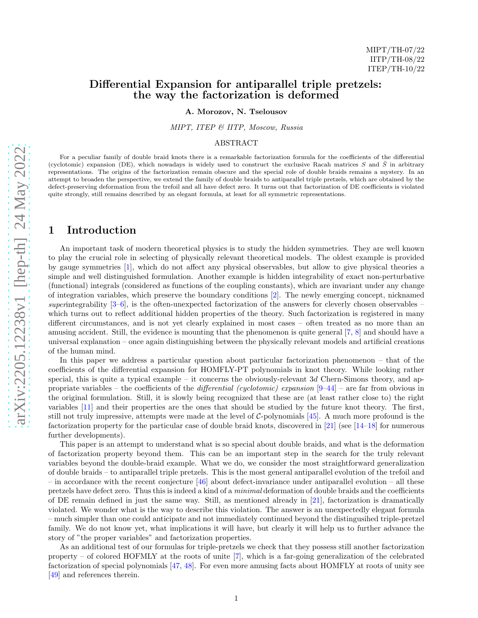## Differential Expansion for antiparallel triple pretzels: the way the factorization is deformed

A. Morozov, N. Tselousov

MIPT, ITEP & IITP, Moscow, Russia

### ABSTRACT

For a peculiar family of double braid knots there is a remarkable factorization formula for the coefficients of the differential (cyclotomic) expansion (DE), which nowadays is widely used to construct the exclusive Racah matrices S and  $\overline{S}$  in arbitrary representations. The origins of the factorization remain obscure and the special role of double braids remains a mystery. In an attempt to broaden the perspective, we extend the family of double braids to antiparallel triple pretzels, which are obtained by the defect-preserving deformation from the trefoil and all have defect zero. It turns out that factorization of DE coefficients is violated quite strongly, still remains described by an elegant formula, at least for all symmetric representations.

## 1 Introduction

An important task of modern theoretical physics is to study the hidden symmetries. They are well known to play the crucial role in selecting of physically relevant theoretical models. The oldest example is provided by gauge symmetries [\[1\]](#page-10-0), which do not affect any physical observables, but allow to give physical theories a simple and well distinguished formulation. Another example is hidden integrability of exact non-perturbative (functional) integrals (considered as functions of the coupling constants), which are invariant under any change of integration variables, which preserve the boundary conditions [\[2\]](#page-10-1). The newly emerging concept, nicknamed superintegrability  $[3-6]$ , is the often-unexpected factorization of the answers for cleverly chosen observables which turns out to reflect additional hidden properties of the theory. Such factorization is registered in many different circumstances, and is not yet clearly explained in most cases – often treated as no more than an amusing accident. Still, the evidence is mounting that the phenomenon is quite general [\[7](#page-10-4), [8](#page-10-5)] and should have a universal explanation – once again distinguishing between the physically relevant models and artificial creations of the human mind.

In this paper we address a particular question about particular factorization phenomenon – that of the coefficients of the differential expansion for HOMFLY-PT polynomials in knot theory. While looking rather special, this is quite a typical example – it concerns the obviously-relevant  $3d$  Chern-Simons theory, and appropriate variables – the coefficients of the *differential (cyclotomic) expansion*  $[9-44]$  $[9-44]$  – are far from obvious in the original formulation. Still, it is slowly being recognized that these are (at least rather close to) the right variables [\[11\]](#page-10-7) and their properties are the ones that should be studied by the future knot theory. The first, still not truly impressive, attempts were made at the level of  $C$ -polynomials [\[45\]](#page-11-1). A much more profound is the factorization property for the particular case of double braid knots, discovered in [\[21\]](#page-10-8) (see [\[14](#page-10-9)[–18](#page-10-10)] for numerous further developments).

This paper is an attempt to understand what is so special about double braids, and what is the deformation of factorization property beyond them. This can be an important step in the search for the truly relevant variables beyond the double-braid example. What we do, we consider the most straightforward generalization of double braids – to antiparallel triple pretzels. This is the most general antiparallel evolution of the trefoil and – in accordance with the recent conjecture  $[46]$  about defect-invariance under antiparallel evolution – all these pretzels have defect zero. Thus this is indeed a kind of a minimal deformation of double braids and the coefficients of DE remain defined in just the same way. Still, as mentioned already in [\[21](#page-10-8)], factorization is dramatically violated. We wonder what is the way to describe this violation. The answer is an unexpectedly elegant formula – much simpler than one could anticipate and not immediately continued beyond the distingusihed triple-pretzel family. We do not know yet, what implications it will have, but clearly it will help us to further advance the story of "the proper variables" and factorization properties.

As an additional test of our formulas for triple-pretzels we check that they possess still another factorization property – of colored HOFMLY at the roots of unite  $[7]$ , which is a far-going generalization of the celebrated factorization of special polynomials [\[47](#page-12-0), [48](#page-12-1)]. For even more amusing facts about HOMFLY at roots of unity see [\[49\]](#page-12-2) and references therein.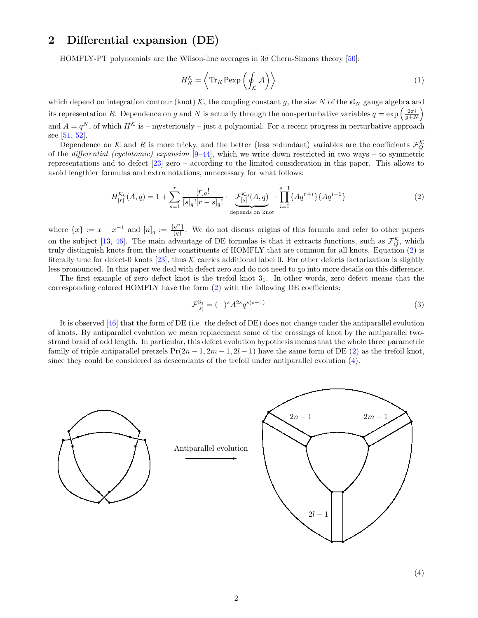# 2 Differential expansion (DE)

HOMFLY-PT polynomials are the Wilson-line averages in 3d Chern-Simons theory [\[50\]](#page-12-3):

$$
H_R^{\mathcal{K}} = \left\langle \text{Tr}_R \text{Pexp}\left(\oint_{\mathcal{K}} \mathcal{A}\right) \right\rangle \tag{1}
$$

which depend on integration contour (knot) K, the coupling constant g, the size N of the  $\mathfrak{sl}_N$  gauge algebra and its representation R. Dependence on g and N is actually through the non-perturbative variables  $q = \exp\left(\frac{2\pi i}{g+N}\right)$ and  $A = q^N$ , of which  $H^{\mathcal{K}}$  is – mysteriously – just a polynomial. For a recent progress in perturbative approach see [\[51,](#page-12-4) [52\]](#page-12-5).

Dependence on K and R is more tricky, and the better (less redundant) variables are the coefficients  $\mathcal{F}_Q^{\mathcal{K}}$ of the *differential (cyclotomic) expansion*  $[9-44]$  $[9-44]$ , which we write down restricted in two ways – to symmetric representations and to defect [\[23\]](#page-10-11) zero – according to the limited consideration in this paper. This allows to avoid lengthier formulas and extra notations, unnecessary for what follows:

<span id="page-1-0"></span>
$$
H_{[r]}^{\mathcal{K}_0}(A,q) = 1 + \sum_{s=1}^r \frac{[r]_q!}{[s]_q! [r-s]_q!} \cdot \underbrace{\mathcal{F}_{[s]}^{\mathcal{K}_0}(A,q)}_{\text{depends on knot}} \cdot \prod_{i=0}^{s-1} \{Aq^{r+i}\} \{Aq^{i-1}\}
$$
(2)

where  $\{x\} := x - x^{-1}$  and  $[n]_q := \frac{\{q^n\}}{\{q\}}$  ${q \over \{q\}}$ . We do not discuss origins of this formula and refer to other papers on the subject [\[13,](#page-10-12) [46](#page-11-2)]. The main advantage of DE formulas is that it extracts functions, such as  $\mathcal{F}_Q^{\mathcal{K}}$ , which truly distinguish knots from the other constituents of HOMFLY that are common for all knots. Equation [\(2\)](#page-1-0) is literally true for defect-0 knots [\[23\]](#page-10-11), thus K carries additional label 0. For other defects factorization is slightly less pronounced. In this paper we deal with defect zero and do not need to go into more details on this difference.

The first example of zero defect knot is the trefoil knot  $3<sub>1</sub>$ . In other words, zero defect means that the corresponding colored HOMFLY have the form [\(2\)](#page-1-0) with the following DE coefficients:

$$
\mathcal{F}_{[s]}^{3_1} = (-)^s A^{2s} q^{s(s-1)} \tag{3}
$$

It is observed [\[46\]](#page-11-2) that the form of DE (i.e. the defect of DE) does not change under the antiparallel evolution of knots. By antiparallel evolution we mean replacement some of the crossings of knot by the antiparallel twostrand braid of odd length. In particular, this defect evolution hypothesis means that the whole three parametric family of triple antiparallel pretzels  $Pr(2n - 1, 2m - 1, 2l - 1)$  have the same form of DE [\(2\)](#page-1-0) as the trefoil knot, since they could be considered as descendants of the trefoil under antiparallel evolution [\(4\)](#page-1-1).

<span id="page-1-1"></span>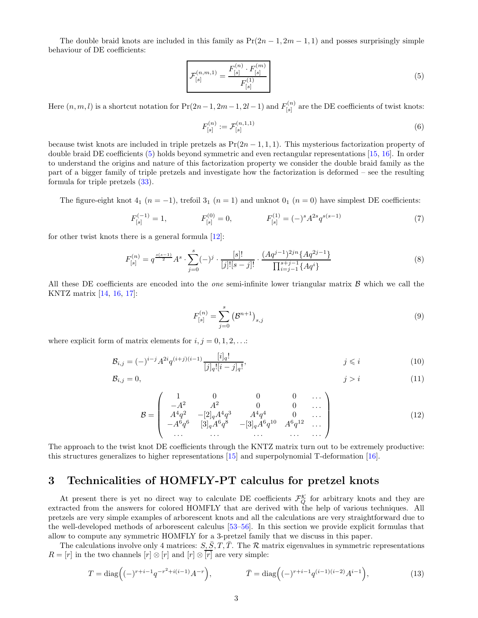The double braid knots are included in this family as  $Pr(2n-1, 2m-1, 1)$  and posses surprisingly simple behaviour of DE coefficients:

<span id="page-2-0"></span>
$$
\mathcal{F}_{[s]}^{(n,m,1)} = \frac{F_{[s]}^{(n)} \cdot F_{[s]}^{(m)}}{F_{[s]}^{(1)}} \tag{5}
$$

Here  $(n, m, l)$  is a shortcut notation for  $Pr(2n - 1, 2m - 1, 2l - 1)$  and  $F_{[s]}^{(n)}$  $\mathbb{E}^{(n)}_{[s]}$  are the DE coefficients of twist knots:

$$
F_{[s]}^{(n)} := \mathcal{F}_{[s]}^{(n,1,1)} \tag{6}
$$

because twist knots are included in triple pretzels as  $Pr(2n-1,1,1)$ . This mysterious factorization property of double braid DE coefficients [\(5\)](#page-2-0) holds beyond symmetric and even rectangular representations [\[15,](#page-10-13) [16](#page-10-14)]. In order to understand the origins and nature of this factorization property we consider the double braid family as the part of a bigger family of triple pretzels and investigate how the factorization is deformed – see the resulting formula for triple pretzels [\(33\)](#page-5-0).

The figure-eight knot  $4_1$  ( $n = -1$ ), trefoil  $3_1$  ( $n = 1$ ) and unknot  $0_1$  ( $n = 0$ ) have simplest DE coefficients:

$$
F_{[s]}^{(-1)} = 1, \qquad F_{[s]}^{(0)} = 0, \qquad F_{[s]}^{(1)} = (-)^s A^{2s} q^{s(s-1)} \tag{7}
$$

for other twist knots there is a general formula [\[12](#page-10-15)]:

<span id="page-2-1"></span>
$$
F_{[s]}^{(n)} = q^{\frac{s(s-1)}{2}} A^s \cdot \sum_{j=0}^s (-)^j \cdot \frac{[s]!}{[j]![s-j]!} \cdot \frac{(Aq^{j-1})^{2jn} \{Aq^{2j-1}\}}{\prod_{i=j-1}^{s+j-1} \{Aq^i\}}
$$
(8)

All these DE coefficients are encoded into the *one* semi-infinite lower triangular matrix  $\beta$  which we call the KNTZ matrix [\[14,](#page-10-9) [16,](#page-10-14) [17\]](#page-10-16):

<span id="page-2-3"></span><span id="page-2-2"></span>
$$
F_{[s]}^{(n)} = \sum_{j=0}^{s} (\mathcal{B}^{n+1})_{s,j}
$$
 (9)

where explicit form of matrix elements for  $i, j = 0, 1, 2, \ldots$ :

$$
\mathcal{B}_{i,j} = (-)^{i-j} A^{2i} q^{(i+j)(i-1)} \frac{[i]_q!}{[j]_q! [i-j]_q!}, \qquad j \leq i \qquad (10)
$$

$$
\mathcal{B}_{i,j} = 0, \tag{11}
$$

$$
\mathcal{B} = \begin{pmatrix}\n1 & 0 & 0 & 0 & \dots \\
-A^2 & A^2 & 0 & 0 & \dots \\
A^4 q^2 & -[2]_q A^4 q^3 & A^4 q^4 & 0 & \dots \\
-A^6 q^6 & [3]_q A^6 q^8 & -[3]_q A^6 q^{10} & A^6 q^{12} & \dots \\
\dots & \dots & \dots & \dots & \dots\n\end{pmatrix}
$$
\n(12)

The approach to the twist knot DE coefficients through the KNTZ matrix turn out to be extremely productive: this structures generalizes to higher representations [\[15](#page-10-13)] and superpolynomial T-deformation [\[16\]](#page-10-14).

# 3 Technicalities of HOMFLY-PT calculus for pretzel knots

At present there is yet no direct way to calculate DE coefficients  $\mathcal{F}_{Q}^{\mathcal{K}}$  for arbitrary knots and they are extracted from the answers for colored HOMFLY that are derived with the help of various techniques. All pretzels are very simple examples of arborescent knots and all the calculations are very straightforward due to the well-developed methods of arborescent calculus [\[53](#page-12-6)[–56\]](#page-12-7). In this section we provide explicit formulas that allow to compute any symmetric HOMFLY for a 3-pretzel family that we discuss in this paper.

The calculations involve only 4 matrices:  $S, \overline{S}, T, \overline{T}$ . The R matrix eigenvalues in symmetric representations  $R = [r]$  in the two channels  $[r] \otimes [r]$  and  $[r] \otimes \overline{[r]}$  are very simple:

$$
T = \text{diag}\left((-)^{r+i-1}q^{-r^2+i(i-1)}A^{-r}\right), \qquad \qquad \bar{T} = \text{diag}\left((-)^{r+i-1}q^{(i-1)(i-2)}A^{i-1}\right),\tag{13}
$$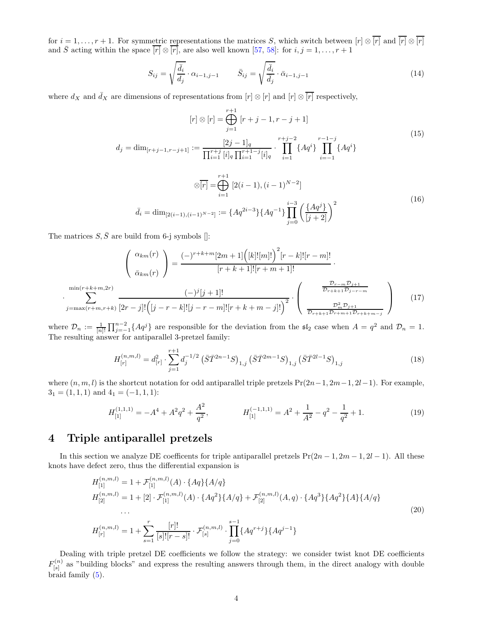for  $i = 1, \ldots, r + 1$ . For symmetric representations the matrices S, which switch between  $[r] \otimes \overline{[r]}$  and  $\overline{[r]} \otimes \overline{[r]}$ and  $\overline{S}$  acting within the space  $\overline{[r]} \otimes \overline{[r]}$ , are also well known [\[57,](#page-12-8) [58\]](#page-12-9): for  $i, j = 1, ..., r + 1$ 

$$
S_{ij} = \sqrt{\frac{\bar{d}_i}{d_j}} \cdot \alpha_{i-1,j-1} \qquad \bar{S}_{ij} = \sqrt{\frac{\bar{d}_i}{\bar{d}_j}} \cdot \bar{\alpha}_{i-1,j-1} \tag{14}
$$

where  $d_X$  and  $\bar{d}_X$  are dimensions of representations from  $[r] \otimes [r]$  and  $[r] \otimes \overline{[r]}$  respectively,

$$
[r] \otimes [r] = \bigoplus_{j=1}^{r+1} [r+j-1, r-j+1]
$$
\n
$$
d_j = \dim_{[r+j-1, r-j+1]} := \frac{[2j-1]_q}{\prod_{i=1}^{r+j} [i]_q \prod_{i=1}^{r+1-j} [i]_q} \cdot \prod_{i=1}^{r+j-2} \{Aq^i\} \prod_{i=-1}^{r-1-j} \{Aq^i\}
$$
\n
$$
\otimes \overline{[r]} = \bigoplus_{i=1}^{r+1} [2(i-1), (i-1)^{N-2}]
$$
\n
$$
\bar{d}_i = \dim_{[2(i-1), (i-1)^{N-2}]} := \{Aq^{2i-3}\} \{Aq^{-1}\} \prod_{j=0}^{i-3} \left(\frac{\{Aq^j\}}{[j+2]}\right)^2
$$
\n(16)

The matrices  $S, \bar{S}$  are build from 6-j symbols []:

·

$$
\begin{pmatrix}\n\alpha_{km}(r) \\
\bar{\alpha}_{km}(r)\n\end{pmatrix} = \frac{(-)^{r+k+m}[2m+1]([k]![m]!)^2[r-k]![r-m]!}{[r+k+1]![r+m+1]!}.
$$
\n
$$
\min(r+k+m,2r)\n\begin{pmatrix}\n-\frac{\partial r}{\partial k m}(r) & -\frac{\partial r}{\partial k m}(r) \\
\frac{\partial r}{\partial k m}(r) & -\frac{\partial r}{\partial k m}(r)\n\end{pmatrix} \cdot \begin{pmatrix}\n\frac{\partial r}{\partial r+k+1}\frac{\partial r}{\partial r-r} \\
\frac{\partial r}{\partial r+k+1}\frac{\partial r}{\partial r-r} \\
\frac{\partial r}{\partial r+k+1}\frac{\partial r}{\partial r+k+1}\frac{\partial r}{\partial r+k+1}\n\end{pmatrix} (17)
$$

where  $\mathcal{D}_n := \frac{1}{[n]!} \prod_{j=-1}^{n-2} \{Aq^j\}$  are responsible for the deviation from the  $\mathfrak{sl}_2$  case when  $A = q^2$  and  $\mathcal{D}_n = 1$ . The resulting answer for antiparallel 3-pretzel family:

$$
H_{[r]}^{(n,m,l)} = d_{[r]}^2 \cdot \sum_{j=1}^{r+1} d_j^{-1/2} \left( \bar{S} \bar{T}^{2n-1} S \right)_{1,j} \left( \bar{S} \bar{T}^{2m-1} S \right)_{1,j} \left( \bar{S} \bar{T}^{2l-1} S \right)_{1,j} \tag{18}
$$

where  $(n, m, l)$  is the shortcut notation for odd antiparallel triple pretzels  $Pr(2n-1, 2m-1, 2l-1)$ . For example,  $3<sub>1</sub> = (1, 1, 1)$  and  $4<sub>1</sub> = (-1, 1, 1)$ :

$$
H_{[1]}^{(1,1,1)} = -A^4 + A^2 q^2 + \frac{A^2}{q^2}, \qquad H_{[1]}^{(-1,1,1)} = A^2 + \frac{1}{A^2} - q^2 - \frac{1}{q^2} + 1. \tag{19}
$$

# 4 Triple antiparallel pretzels

In this section we analyze DE coefficents for triple antiparallel pretzels  $Pr(2n - 1, 2m - 1, 2l - 1)$ . All these knots have defect zero, thus the differential expansion is

$$
H_{[1]}^{(n,m,l)} = 1 + \mathcal{F}_{[1]}^{(n,m,l)}(A) \cdot \{Aq\} \{A/q\}
$$
  
\n
$$
H_{[2]}^{(n,m,l)} = 1 + [2] \cdot \mathcal{F}_{[1]}^{(n,m,l)}(A) \cdot \{Aq^2\} \{A/q\} + \mathcal{F}_{[2]}^{(n,m,l)}(A,q) \cdot \{Aq^3\} \{Aq^2\} \{A\} \{A/q\}
$$
  
\n...  
\n
$$
H_{[r]}^{(n,m,l)} = 1 + \sum_{s=1}^r \frac{[r]!}{[s]![r-s]!} \cdot \mathcal{F}_{[s]}^{(n,m,l)} \cdot \prod_{j=0}^{s-1} \{Aq^{r+j}\} \{Aq^{j-1}\}
$$
  
\n(20)

Dealing with triple pretzel DE coefficients we follow the strategy: we consider twist knot DE coefficients  $F^{(n)}_{\text{ls}1}$  $S^{(n)}_{[s]}$  as "building blocks" and express the resulting answers through them, in the direct analogy with double braid family [\(5\)](#page-2-0).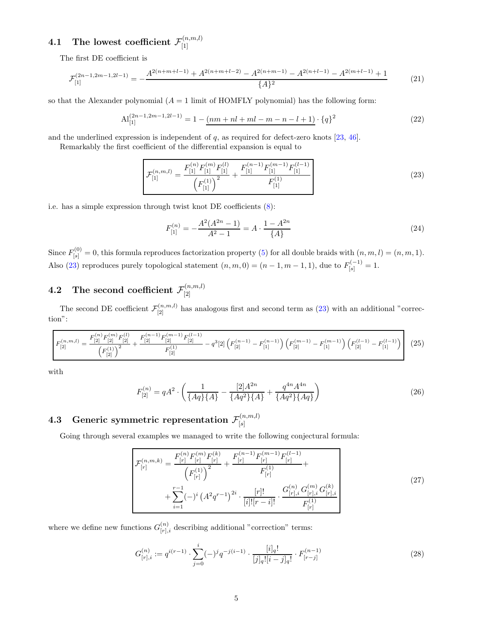### 4.1 The lowest coefficient F (n,m,l) [1]

The first DE coefficient is

$$
\mathcal{F}_{[1]}^{(2n-1,2m-1,2l-1)} = -\frac{A^{2(n+m+l-1)} + A^{2(n+m+l-2)} - A^{2(n+m-1)} - A^{2(n+l-1)} - A^{2(m+l-1)} + 1}{\{A\}^2} \tag{21}
$$

so that the Alexander polynomial  $(A = 1 \text{ limit of HOMFLY polynomial})$  has the following form:

$$
\mathrm{Al}_{[1]}^{(2n-1,2m-1,2l-1)} = 1 - \underbrace{(nm + nl + ml - m - n - l + 1)}_{(22)}
$$

and the underlined expression is independent of  $q$ , as required for defect-zero knots [\[23,](#page-10-11) [46\]](#page-11-2).

Remarkably the first coefficient of the differential expansion is equal to

<span id="page-4-0"></span>
$$
\mathcal{F}_{[1]}^{(n,m,l)} = \frac{F_{[1]}^{(n)} F_{[1]}^{(m)} F_{[1]}^{(l)}}{\left(F_{[1]}^{(1)}\right)^2} + \frac{F_{[1]}^{(n-1)} F_{[1]}^{(m-1)} F_{[1]}^{(l-1)}}{F_{[1]}^{(1)}}
$$
\n(23)

i.e. has a simple expression through twist knot DE coefficients [\(8\)](#page-2-1):

$$
F_{[1]}^{(n)} = -\frac{A^2(A^{2n} - 1)}{A^2 - 1} = A \cdot \frac{1 - A^{2n}}{\{A\}}
$$
\n(24)

Since  $F_{[s]}^{(0)} = 0$ , this formula reproduces factorization property [\(5\)](#page-2-0) for all double braids with  $(n, m, l) = (n, m, 1)$ . Also [\(23\)](#page-4-0) reproduces purely topological statement  $(n, m, 0) = (n - 1, m - 1, 1)$ , due to  $F_{[s]}^{(-1)} = 1$ .

### $\textup{4.2}\quad \textup{The second coefficient}\ \mathcal{F}^{(n,m,l)}_{[2]}$ [2]

The second DE coefficient  $\mathcal{F}_{[2]}^{(n,m,l)}$  has analogous first and second term as [\(23\)](#page-4-0) with an additional "correction":

$$
F_{[2]}^{(n,m,l)} = \frac{F_{[2]}^{(n)}F_{[2]}^{(m)}F_{[2]}^{(l)}}{\left(F_{[2]}^{(1)}\right)^2} + \frac{F_{[2]}^{(n-1)}F_{[2]}^{(m-1)}F_{[2]}^{(l-1)}}{F_{[2]}^{(1)}} - q^3[2]\left(F_{[2]}^{(n-1)} - F_{[1]}^{(n-1)}\right)\left(F_{[2]}^{(m-1)} - F_{[1]}^{(m-1)}\right)\left(F_{[2]}^{(l-1)} - F_{[1]}^{(l-1)}\right) \tag{25}
$$

with

$$
F_{[2]}^{(n)} = qA^2 \cdot \left(\frac{1}{\{Aq\}\{A\}} - \frac{[2]A^{2n}}{\{Aq^2\}\{A\}} + \frac{q^{4n}A^{4n}}{\{Aq^2\}\{Aq\}}\right) \tag{26}
$$

### <span id="page-4-3"></span> $\textbf{4.3} \quad \textbf{Generic symmetric representation} \; \mathcal{F}_{\left[\textbf{s}\right]}^{\left(n,m,l\right)}$  $[s]$

Going through several examples we managed to write the following conjectural formula:

<span id="page-4-1"></span>
$$
\mathcal{F}_{[r]}^{(n,m,k)} = \frac{F_{[r]}^{(n)} F_{[r]}^{(m)} F_{[r]}^{(k)}}{\left(F_{[r]}^{(1)}\right)^2} + \frac{F_{[r]}^{(n-1)} F_{[r]}^{(m-1)} F_{[r]}^{(l-1)}}{F_{[r]}^{(1)}} + \sum_{i=1}^{r-1} (-)^i \left(A^2 q^{r-1}\right)^{2i} \cdot \frac{[r]!}{[i]! [r-i]!} \cdot \frac{G_{[r],i}^{(n)} G_{[r],i}^{(m)} G_{[r],i}^{(k)}}{F_{[r]}^{(1)}}
$$
\n
$$
(27)
$$

where we define new functions  $G_{[r],i}^{(n)}$  describing additional "correction" terms:

<span id="page-4-2"></span>
$$
G_{[r],i}^{(n)} := q^{i(r-1)} \cdot \sum_{j=0}^{i} (-)^j q^{-j(i-1)} \cdot \frac{[i]_q!}{[j]_q! [i-j]_q!} \cdot F_{[r-j]}^{(n-1)}
$$
(28)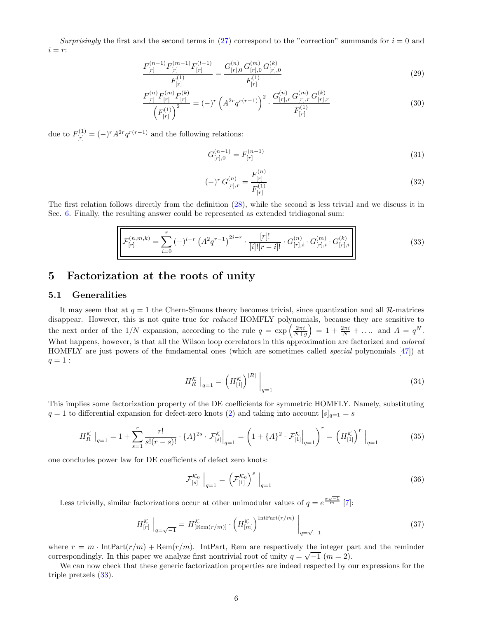Surprisingly the first and the second terms in [\(27\)](#page-4-1) correspond to the "correction" summands for  $i = 0$  and  $i = r$ :

$$
\frac{F_{[r]}^{(n-1)}F_{[r]}^{(m-1)}F_{[r]}^{(l-1)}}{F_{[r]}^{(1)}} = \frac{G_{[r],0}^{(n)}G_{[r],0}^{(m)}G_{[r],0}^{(k)}}{F_{[r]}^{(1)}}\tag{29}
$$

$$
\frac{F_{[r]}^{(n)}F_{[r]}^{(m)}F_{[r]}^{(k)}}{\left(F_{[r]}^{(1)}\right)^2} = (-)^r \left(A^{2r}q^{r(r-1)}\right)^2 \cdot \frac{G_{[r],r}^{(n)}G_{[r],r}^{(m)}G_{[r],r}^{(k)}}{F_{[r]}^{(1)}}
$$
(30)

due to  $F_{[r]}^{(1)} = (-)^r A^{2r} q^{r(r-1)}$  and the following relations:

$$
G_{[r],0}^{(n-1)} = F_{[r]}^{(n-1)} \tag{31}
$$

<span id="page-5-4"></span><span id="page-5-0"></span>
$$
(-)^r G^{(n)}_{[r],r} = \frac{F^{(n)}_{[r]}}{F^{(1)}_{[r]}} \tag{32}
$$

The first relation follows directly from the definition [\(28\)](#page-4-2), while the second is less trivial and we discuss it in Sec. [6.](#page-8-0) Finally, the resulting answer could be represented as extended tridiagonal sum:

$$
\mathcal{F}_{[r]}^{(n,m,k)} = \sum_{i=0}^{r} \left(-\right)^{i-r} \left(A^2 q^{r-1}\right)^{2i-r} \cdot \frac{[r]!}{[i]![r-i]!} \cdot G_{[r],i}^{(n)} \cdot G_{[r],i}^{(m)} \cdot G_{[r],i}^{(k)}\n\tag{33}
$$

# 5 Factorization at the roots of unity

## 5.1 Generalities

It may seem that at  $q = 1$  the Chern-Simons theory becomes trivial, since quantization and all R-matrices disappear. However, this is not quite true for *reduced* HOMFLY polynomials, because they are sensitive to the next order of the  $1/N$  expansion, according to the rule  $q = \exp\left(\frac{2\pi i}{N+g}\right) = 1 + \frac{2\pi i}{N} + \dots$  and  $A = q^N$ . What happens, however, is that all the Wilson loop correlators in this approximation are factorized and *colored* HOMFLY are just powers of the fundamental ones (which are sometimes called special polynomials [\[47\]](#page-12-0)) at  $q = 1:$ 

<span id="page-5-1"></span>
$$
H_R^{\mathcal{K}} \big|_{q=1} = \left( H_{[1]}^{\mathcal{K}} \right)^{|R|} \big|_{q=1} \tag{34}
$$

This implies some factorization property of the DE coefficients for symmetric HOMFLY. Namely, substituting  $q = 1$  to differential expansion for defect-zero knots [\(2\)](#page-1-0) and taking into account  $[s]_{q=1} = s$ 

$$
H_R^{\mathcal{K}}\big|_{q=1} = 1 + \sum_{s=1}^r \frac{r!}{s!(r-s)!} \cdot \{A\}^{2s} \cdot \mathcal{F}_{[s]}^{\mathcal{K}}\big|_{q=1} = \left(1 + \{A\}^2 \cdot \mathcal{F}_{[1]}^{\mathcal{K}}\big|_{q=1}\right)^r = \left(H_{[1]}^{\mathcal{K}}\right)^r\big|_{q=1}
$$
(35)

one concludes power law for DE coefficients of defect zero knots:

<span id="page-5-2"></span>
$$
\mathcal{F}_{[s]}^{\mathcal{K}_0} \Big|_{q=1} = \left( \mathcal{F}_{[1]}^{\mathcal{K}_0} \right)^s \Big|_{q=1} \tag{36}
$$

Less trivially, similar factorizations occur at other unimodular values of  $q = e^{\frac{\pi \sqrt{-1}}{m}}$  [\[7](#page-10-4)]:

<span id="page-5-3"></span>
$$
H_{[r]}^{\mathcal{K}}\Big|_{q=\sqrt{-1}} = H_{\text{[Rem}(r/m)]}^{\mathcal{K}} \cdot \left(H_{[m]}^{\mathcal{K}}\right)^{\text{IntPart}(r/m)}\Big|_{q=\sqrt{-1}}
$$
(37)

where  $r = m \cdot \text{IntPart}(r/m) + \text{Rem}(r/m)$ . IntPart, Rem are respectively the integer part and the reminder correspondingly. In this paper we analyze first nontrivial root of unity  $q = \sqrt{-1}$  ( $m = 2$ ).

We can now check that these generic factorization properties are indeed respected by our expressions for the triple pretzels [\(33\)](#page-5-0).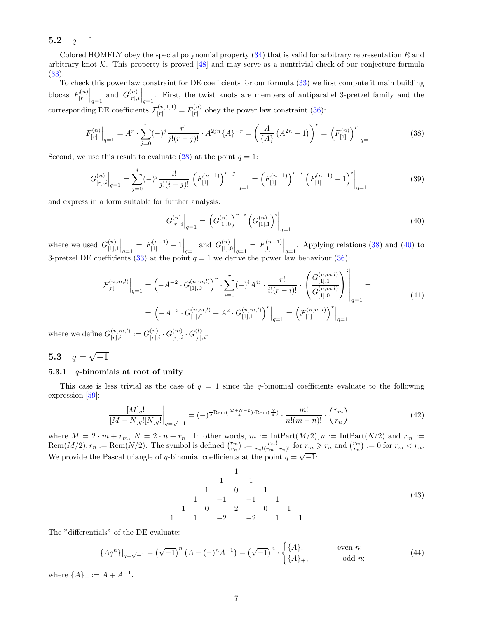## 5.2  $q = 1$

Colored HOMFLY obey the special polynomial property  $(34)$  that is valid for arbitrary representation R and arbitrary knot  $K$ . This property is proved  $[48]$  and may serve as a nontrivial check of our conjecture formula [\(33\)](#page-5-0).

To check this power law constraint for DE coefficients for our formula [\(33\)](#page-5-0) we first compute it main building blocks  $F_{[r]}^{(n)}$  $\begin{bmatrix} G^{(n)} \\ F \end{bmatrix}_{q=1}$  and  $G^{(n)}_{[r]}$  $\binom{[n]}{[r],i}\Big|_{q=1}$ . First, the twist knots are members of antiparallel 3-pretzel family and the corresponding DE coefficients  $\mathcal{F}_{[r]}^{(n,1,1)} = F_{[r]}^{(n)}$  $\binom{n}{[r]}$  obey the power law constraint [\(36\)](#page-5-2):

<span id="page-6-0"></span>
$$
F_{[r]}^{(n)}\Big|_{q=1} = A^r \cdot \sum_{j=0}^r (-)^j \frac{r!}{j!(r-j)!} \cdot A^{2jn} \{A\}^{-r} = \left(\frac{A}{\{A\}} \left(A^{2n} - 1\right)\right)^r = \left(F_{[1]}^{(n)}\right)^r\Big|_{q=1}
$$
(38)

Second, we use this result to evaluate [\(28\)](#page-4-2) at the point  $q = 1$ :

$$
G_{[r],i}^{(n)}\Big|_{q=1} = \sum_{j=0}^{i} (-)^j \frac{i!}{j!(i-j)!} \left( F_{[1]}^{(n-1)} \right)^{r-j} \Big|_{q=1} = \left( F_{[1]}^{(n-1)} \right)^{r-i} \left( F_{[1]}^{(n-1)} - 1 \right)^i \Big|_{q=1}
$$
(39)

and express in a form suitable for further analysis:

<span id="page-6-1"></span>
$$
G_{[r],i}^{(n)}\Big|_{q=1} = \left(G_{[1],0}^{(n)}\right)^{r-i} \left(G_{[1],1}^{(n)}\right)^i\Big|_{q=1}
$$
\n(40)

where we used  $G_{[1]}^{(n)}$  $\begin{bmatrix} (n) \\ [1],1] \end{bmatrix}_{q=1} = F_{[1]}^{(n-1)} - 1 \Big|_{q=1}$  and  $G_{[1],}^{(n)}$  $\binom{[n]}{[1],0}_{q=1} = F_{[1]}^{(n-1)}\Big|_{q=1}$ . Applying relations [\(38\)](#page-6-0) and [\(40\)](#page-6-1) to 3-pretzel DE coefficients [\(33\)](#page-5-0) at the point  $q = 1$  we derive the power law behaviour [\(36\)](#page-5-2):

$$
\mathcal{F}_{[r]}^{(n,m,l)}\Big|_{q=1} = \left(-A^{-2} \cdot G_{[1],0}^{(n,m,l)}\right)^r \cdot \sum_{i=0}^r (-)^i A^{4i} \cdot \frac{r!}{i!(r-i)!} \cdot \left(\frac{G_{[1],1}^{(n,m,l)}}{G_{[1],0}^{(n,m,l)}}\right)^i\Big|_{q=1} = \left(-A^{-2} \cdot G_{[1],0}^{(n,m,l)} + A^2 \cdot G_{[1],1}^{(n,m,l)}\right)^r\Big|_{q=1} = \left(\mathcal{F}_{[1]}^{(n,m,l)}\right)^r\Big|_{q=1}
$$
\n(41)

where we define  $G_{[r],i}^{(n,m,l)} := G_{[r],i}^{(n)} \cdot G_{[r],i}^{(m)} \cdot G_{[r],i}^{(l)}$ .

# 5.3  $q = \sqrt{-1}$

## 5.3.1  $q$ -binomials at root of unity

This case is less trivial as the case of  $q = 1$  since the q-binomial coefficients evaluate to the following expression [\[59\]](#page-12-10):

<span id="page-6-2"></span>
$$
\frac{[M]_q!}{[M-N]_q! [N]_q!} \bigg|_{q=\sqrt{-1}} = (-)^{\frac{1}{2} \text{Rem}(\frac{M+N-2}{4}) \cdot \text{Rem}(\frac{N}{4})} \cdot \frac{m!}{n!(m-n)!} \cdot \binom{r_m}{r_n}
$$
(42)

where  $M = 2 \cdot m + r_m$ ,  $N = 2 \cdot n + r_n$ . In other words,  $m := \text{IntPart}(M/2), n := \text{IntPart}(N/2)$  and  $r_m :=$ Rem $(M/2), r_n := \text{Rem}(N/2)$ . The symbol is defined  $\binom{r_m}{r_n} := \frac{r_m!}{r_n!(r_m-r_n)!}$  for  $r_m \geq r_n$  and  $\binom{r_m}{r_n} := 0$  for  $r_m < r_n$ . We provide the Pascal triangle of q-binomial coefficients at the point  $q = \sqrt{-1}$ :

1 1 1 1 0 1 1 −1 −1 1 1 0 2 0 1 1 1 −2 −2 1 1 (43)

The "differentials" of the DE evaluate:

$$
\{Aq^n\}|_{q=\sqrt{-1}} = (\sqrt{-1})^n (A - (-)^n A^{-1}) = (\sqrt{-1})^n \cdot \begin{cases} \{A\}, & \text{even } n; \\ \{A\}_+, & \text{odd } n; \end{cases}
$$
(44)

where  ${A}_{+} := A + A^{-1}$ .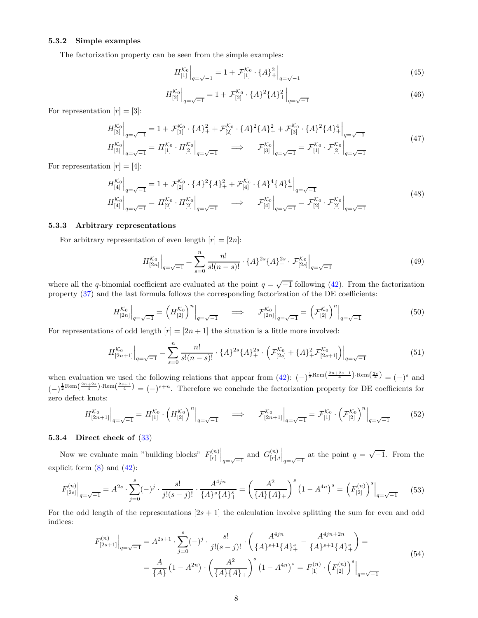### 5.3.2 Simple examples

The factorization property can be seen from the simple examples:

$$
H_{[1]}^{\mathcal{K}_0}\Big|_{q=\sqrt{-1}} = 1 + \mathcal{F}_{[1]}^{\mathcal{K}_0} \cdot \{A\}^2_+\Big|_{q=\sqrt{-1}} \tag{45}
$$

$$
H_{[2]}^{\mathcal{K}_0}\Big|_{q=\sqrt{-1}} = 1 + \mathcal{F}_{[2]}^{\mathcal{K}_0} \cdot \{A\}^2 \{A\}_+^2\Big|_{q=\sqrt{-1}} \tag{46}
$$

For representation  $[r] = [3]$ :

$$
H_{[3]}^{\mathcal{K}_0}\Big|_{q=\sqrt{-1}} = 1 + \mathcal{F}_{[1]}^{\mathcal{K}_0} \cdot \{A\}_+^2 + \mathcal{F}_{[2]}^{\mathcal{K}_0} \cdot \{A\}^2 \{A\}_+^2 + \mathcal{F}_{[3]}^{\mathcal{K}_0} \cdot \{A\}^2 \{A\}_+^4 \Big|_{q=\sqrt{-1}}
$$
  
\n
$$
H_{[3]}^{\mathcal{K}_0}\Big|_{q=\sqrt{-1}} = H_{[1]}^{\mathcal{K}_0} \cdot H_{[2]}^{\mathcal{K}_0}\Big|_{q=\sqrt{-1}} \implies \mathcal{F}_{[3]}^{\mathcal{K}_0}\Big|_{q=\sqrt{-1}} = \mathcal{F}_{[1]}^{\mathcal{K}_0} \cdot \mathcal{F}_{[2]}^{\mathcal{K}_0}\Big|_{q=\sqrt{-1}}
$$
\n(47)

For representation  $[r] = [4]$ :

$$
H_{[4]}^{\mathcal{K}_0}\Big|_{q=\sqrt{-1}} = 1 + \mathcal{F}_{[2]}^{\mathcal{K}_0} \cdot \{A\}^2 \{A\}_+^2 + \mathcal{F}_{[4]}^{\mathcal{K}_0} \cdot \{A\}^4 \{A\}_+^4 \Big|_{q=\sqrt{-1}}
$$
  
\n
$$
H_{[4]}^{\mathcal{K}_0}\Big|_{q=\sqrt{-1}} = H_{[2]}^{\mathcal{K}_0} \cdot H_{[2]}^{\mathcal{K}_0}\Big|_{q=\sqrt{-1}} \implies \mathcal{F}_{[4]}^{\mathcal{K}_0}\Big|_{q=\sqrt{-1}} = \mathcal{F}_{[2]}^{\mathcal{K}_0} \cdot \mathcal{F}_{[2]}^{\mathcal{K}_0}\Big|_{q=\sqrt{-1}}
$$
\n(48)

### 5.3.3 Arbitrary representations

For arbitrary representation of even length  $[r] = [2n]$ :

$$
H_{[2n]}^{\mathcal{K}_0}\Big|_{q=\sqrt{-1}} = \sum_{s=0}^n \frac{n!}{s!(n-s)!} \cdot \{A\}^{2s} \{A\}_+^{2s} \cdot \mathcal{F}_{[2s]}^{\mathcal{K}_0}\Big|_{q=\sqrt{-1}} \tag{49}
$$

where all the q-binomial coefficient are evaluated at the point  $q = \sqrt{-1}$  following [\(42\)](#page-6-2). From the factorization property [\(37\)](#page-5-3) and the last formula follows the corresponding factorization of the DE coefficients:

$$
H_{[2n]}^{\mathcal{K}_0}\Big|_{q=\sqrt{-1}} = \left(H_{[2]}^{\mathcal{K}_0}\right)^n\Big|_{q=\sqrt{-1}} \quad \Longrightarrow \quad \mathcal{F}_{[2n]}^{\mathcal{K}_0}\Big|_{q=\sqrt{-1}} = \left(\mathcal{F}_{[2]}^{\mathcal{K}_0}\right)^n\Big|_{q=\sqrt{-1}} \tag{50}
$$

For representations of odd length  $[r] = [2n + 1]$  the situation is a little more involved:

$$
H_{[2n+1]}^{\mathcal{K}_0}\Big|_{q=\sqrt{-1}} = \sum_{s=0}^n \frac{n!}{s!(n-s)!} \cdot \{A\}^{2s} \{A\}_+^{2s} \cdot \left(\mathcal{F}_{[2s]}^{\mathcal{K}_0}\right) + \left\{A\}_+^2 \mathcal{F}_{[2s+1]}^{\mathcal{K}_0}\right)\Big|_{q=\sqrt{-1}} \tag{51}
$$

when evaluation we used the following relations that appear from  $(42)$ :  $(-)^{\frac{1}{2} \text{Rem}\left(\frac{2n+2s-1}{4}\right) \cdot \text{Rem}\left(\frac{2s}{4}\right)} = (-)^s$  and  $(-)^{\frac{1}{2}Rem(\frac{2n+2s}{4})\cdot Rem(\frac{2s+1}{4})}=(-)^{s+n}$ . Therefore we conclude the factorization property for DE coefficients for zero defect knots:

$$
H_{[2n+1]}^{\mathcal{K}_0}\Big|_{q=\sqrt{-1}} = H_{[1]}^{\mathcal{K}_0} \cdot \left(H_{[2]}^{\mathcal{K}_0}\right)^n\Big|_{q=\sqrt{-1}} \quad \implies \quad \mathcal{F}_{[2n+1]}^{\mathcal{K}_0}\Big|_{q=\sqrt{-1}} = \mathcal{F}_{[1]}^{\mathcal{K}_0} \cdot \left(\mathcal{F}_{[2]}^{\mathcal{K}_0}\right)^n\Big|_{q=\sqrt{-1}} \tag{52}
$$

## 5.3.4 Direct check of [\(33\)](#page-5-0)

Now we evaluate main "building blocks"  $F_{[r]}^{(n)}$  $\begin{vmatrix} [r] \ [r] \ [r] \end{vmatrix}_{q=\sqrt{-1}}$ and  $G_{[r]}^{(n)}$  $\binom{[n]}{[r],i}\Big|_{q=\sqrt{-1}}$ at the point  $q = \sqrt{-1}$ . From the explicit form  $(8)$  and  $(42)$ :

$$
F_{[2s]}^{(n)}\Big|_{q=\sqrt{-1}} = A^{2s} \cdot \sum_{j=0}^{s} (-)^j \cdot \frac{s!}{j!(s-j)!} \cdot \frac{A^{4jn}}{\{A\}^s \{A\}_+^s} = \left(\frac{A^2}{\{A\}\{A\}_+}\right)^s \left(1 - A^{4n}\right)^s = \left(F_{[2]}^{(n)}\right)^s\Big|_{q=\sqrt{-1}} \tag{53}
$$

For the odd length of the representations  $[2s + 1]$  the calculation involve splitting the sum for even and odd indices:

$$
F_{[2s+1]}^{(n)}\Big|_{q=\sqrt{-1}} = A^{2s+1} \cdot \sum_{j=0}^{s} (-)^j \cdot \frac{s!}{j!(s-j)!} \cdot \left(\frac{A^{4jn}}{\{A\}^{s+1}\{A\}_+^s} - \frac{A^{4jn+2n}}{\{A\}^{s+1}\{A\}_+^s}\right) =
$$
  
= 
$$
\frac{A}{\{A\}} (1 - A^{2n}) \cdot \left(\frac{A^2}{\{A\}\{A\}_+}\right)^s (1 - A^{4n})^s = F_{[1]}^{(n)} \cdot \left(F_{[2]}^{(n)}\right)^s\Big|_{q=\sqrt{-1}}
$$
(54)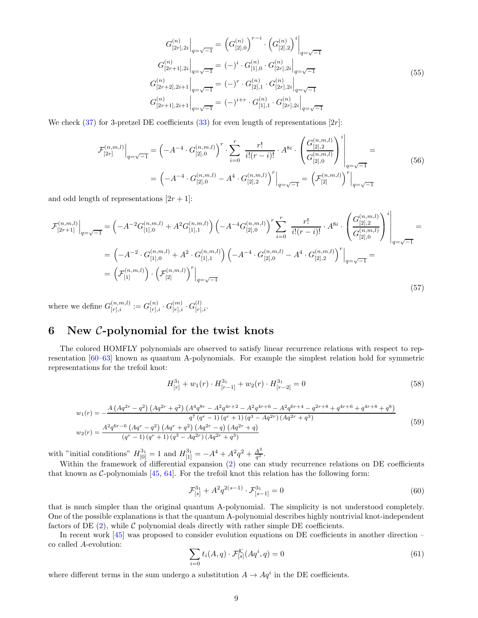$$
G_{[2r],2i}^{(n)}\Big|_{q=\sqrt{-1}} = (G_{[2],0}^{(n)})^{r-i} \cdot (G_{[2],2}^{(n)})^i\Big|_{q=\sqrt{-1}}
$$
  
\n
$$
G_{[2r+1],2i}^{(n)}\Big|_{q=\sqrt{-1}} = (-)^i \cdot G_{[1],0}^{(n)} \cdot G_{[2r],2i}^{(n)}\Big|_{q=\sqrt{-1}}
$$
  
\n
$$
G_{[2r+2],2i+1}^{(n)}\Big|_{q=\sqrt{-1}} = (-)^r \cdot G_{[2],1}^{(n)} \cdot G_{[2r],2i}^{(n)}\Big|_{q=\sqrt{-1}}
$$
  
\n
$$
G_{[2r+1],2i+1}^{(n)}\Big|_{q=\sqrt{-1}} = (-)^{i+r} \cdot G_{[1],1}^{(n)} \cdot G_{[2r],2i}^{(n)}\Big|_{q=\sqrt{-1}}
$$
  
\n(55)

We check  $(37)$  for 3-pretzel DE coefficients  $(33)$  for even length of representations  $[2r]$ :

$$
\mathcal{F}_{[2r]}^{(n,m,l)}\Big|_{q=\sqrt{-1}} = \left(-A^{-4} \cdot G_{[2],0}^{(n,m,l)}\right)^r \cdot \sum_{i=0}^r \frac{r!}{i!(r-i)!} \cdot A^{8i} \cdot \left(\frac{G_{[2],2}^{(n,m,l)}}{G_{[2],0}^{(n,m,l)}}\right)^i\Big|_{q=\sqrt{-1}} = \left(-A^{-4} \cdot G_{[2],0}^{(n,m,l)} - A^4 \cdot G_{[2],2}^{(n,m,l)}\right)^r\Big|_{q=\sqrt{-1}} = \left(\mathcal{F}_{[2]}^{(n,m,l)}\right)^r\Big|_{q=\sqrt{-1}} \tag{56}
$$

and odd length of representations  $[2r + 1]$ :

$$
\mathcal{F}_{[2r+1]}^{(n,m,l)}\Big|_{q=\sqrt{-1}} = \left(-A^{-2}G_{[1],0}^{(n,m,l)} + A^2G_{[1],1}^{(n,m,l)}\right)\left(-A^{-4}G_{[2],0}^{(n,m,l)}\right)^r \sum_{i=0}^r \frac{r!}{i!(r-i)!} \cdot A^{8i} \cdot \left(\frac{G_{[2],2}^{(n,m,l)}}{G_{[2],0}^{(n,m,l)}}\right)^i\Big|_{q=\sqrt{-1}} = \left(-A^{-2} \cdot G_{[1],0}^{(n,m,l)} + A^2 \cdot G_{[1],1}^{(n,m,l)}\right)\left(-A^{-4} \cdot G_{[2],0}^{(n,m,l)} - A^4 \cdot G_{[2],2}^{(n,m,l)}\right)^r\Big|_{q=\sqrt{-1}} = \left(\mathcal{F}_{[1]}^{(n,m,l)}\right) \cdot \left(\mathcal{F}_{[2]}^{(n,m,l)}\right)^r\Big|_{q=\sqrt{-1}} \tag{57}
$$

where we define  $G_{[r],i}^{(n,m,l)} := G_{[r],i}^{(n)} \cdot G_{[r],i}^{(m)} \cdot G_{[r],i}^{(l)}$ .

# <span id="page-8-0"></span>6 New C-polynomial for the twist knots

The colored HOMFLY polynomials are observed to satisfy linear recurrence relations with respect to representation [\[60](#page-12-11)[–63](#page-12-12)] known as quantum A-polynomials. For example the simplest relation hold for symmetric representations for the trefoil knot:

$$
H_{[r]}^{3_1} + w_1(r) \cdot H_{[r-1]}^{3_1} + w_2(r) \cdot H_{[r-2]}^{3_1} = 0 \tag{58}
$$

$$
w_{1}(r) = -\frac{A\left(Aq^{2r} - q^{2}\right)\left(Aq^{2r} + q^{2}\right)\left(A^{4}q^{8r} - A^{2}q^{4r+2} - A^{2}q^{4r+6} - A^{2}q^{6r+4} - q^{2r+8} + q^{4r+6} + q^{4r+8} + q^{8}\right)}{q^{7}\left(q^{r} - 1\right)\left(q^{r} + 1\right)\left(q^{3} - Aq^{2r}\right)\left(Aq^{2r} + q^{3}\right)}
$$
\n
$$
w_{2}(r) = \frac{A^{2}q^{6r-6}\left(Aq^{r} - q^{2}\right)\left(Aq^{r} + q^{2}\right)\left(Aq^{2r} - q\right)\left(Aq^{2r} + q\right)}{\left(q^{r} - 1\right)\left(q^{r} + 1\right)\left(q^{3} - Aq^{2r}\right)\left(Aq^{2r} + q^{3}\right)}\tag{59}
$$

with "initial conditions"  $H_{[0]}^{3_1} = 1$  and  $H_{[1]}^{3_1} = -A^4 + A^2 q^2 + \frac{A^2}{q^2}$  $\frac{A^2}{q^2}$  .

Within the framework of differential expansion [\(2\)](#page-1-0) one can study recurrence relations on DE coefficients that known as C-polynomials [\[45](#page-11-1), [64\]](#page-12-13). For the trefoil knot this relation has the following form:

$$
\mathcal{F}_{[s]}^{3_1} + A^2 q^{2(s-1)} \cdot \mathcal{F}_{[s-1]}^{3_1} = 0 \tag{60}
$$

that is much simpler than the original quantum A-polynomial. The simplicity is not understood completely. One of the possible explanations is that the quantum A-polynomial describes highly nontrivial knot-independent factors of DE  $(2)$ , while C polynomial deals directly with rather simple DE coefficients.

In recent work [\[45\]](#page-11-1) was proposed to consider evolution equations on DE coefficients in another direction – co called A-evolution:

$$
\sum_{i=0} t_i(A, q) \cdot \mathcal{F}_{[s]}^{\mathcal{K}}(Aq^i, q) = 0
$$
\n(61)

where different terms in the sum undergo a substitution  $A \to Aq^i$  in the DE coefficients.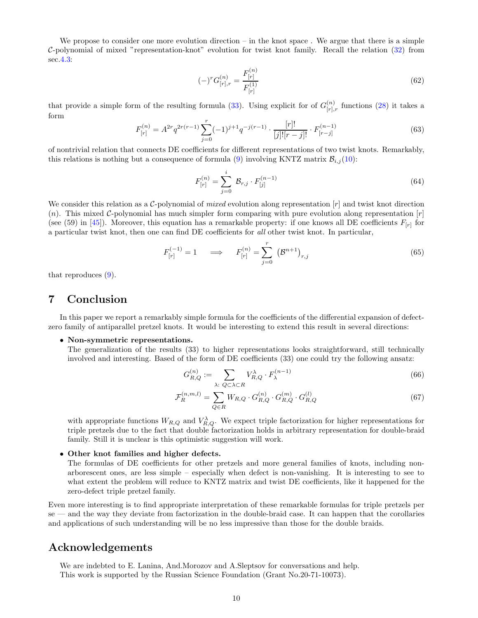We propose to consider one more evolution direction – in the knot space. We argue that there is a simple C-polynomial of mixed "representation-knot" evolution for twist knot family. Recall the relation [\(32\)](#page-5-4) from sec[.4.3:](#page-4-3)

$$
(-)^{r}G_{[r],r}^{(n)} = \frac{F_{[r]}^{(n)}}{F_{[r]}^{(1)}}\tag{62}
$$

that provide a simple form of the resulting formula [\(33\)](#page-5-0). Using explicit for of  $G_{[r]}^{(n)}$  $\binom{n}{[r],r}$  functions [\(28\)](#page-4-2) it takes a form

$$
F_{[r]}^{(n)} = A^{2r} q^{2r(r-1)} \sum_{j=0}^{r} (-1)^{j+1} q^{-j(r-1)} \cdot \frac{[r]!}{[j]![r-j]!} \cdot F_{[r-j]}^{(n-1)}
$$
(63)

of nontrivial relation that connects DE coefficients for different representations of two twist knots. Remarkably, this relations is nothing but a consequence of formula [\(9\)](#page-2-2) involving KNTZ matrix  $\mathcal{B}_{i,j}(10)$  $\mathcal{B}_{i,j}(10)$ :

$$
F_{[r]}^{(n)} = \sum_{j=0}^{i} \mathcal{B}_{r,j} \cdot F_{[j]}^{(n-1)}
$$
(64)

We consider this relation as a C-polynomial of *mixed* evolution along representation  $[r]$  and twist knot direction  $(n)$ . This mixed C-polynomial has much simpler form comparing with pure evolution along representation  $[r]$ (see (59) in [\[45\]](#page-11-1)). Moreover, this equation has a remarkable property: if one knows all DE coefficients  $F_{[r]}$  for a particular twist knot, then one can find DE coefficients for all other twist knot. In particular,

$$
F_{[r]}^{(-1)} = 1 \quad \implies \quad F_{[r]}^{(n)} = \sum_{j=0}^{r} (\mathcal{B}^{n+1})_{r,j}
$$
(65)

that reproduces [\(9\)](#page-2-2).

## 7 Conclusion

In this paper we report a remarkably simple formula for the coefficients of the differential expansion of defectzero family of antiparallel pretzel knots. It would be interesting to extend this result in several directions:

### • Non-symmetric representations.

The generalization of the results (33) to higher representations looks straightforward, still technically involved and interesting. Based of the form of DE coefficients (33) one could try the following ansatz:

$$
G_{R,Q}^{(n)} := \sum_{\lambda: \ Q \subset \lambda \subset R} V_{R,Q}^{\lambda} \cdot F_{\lambda}^{(n-1)} \tag{66}
$$

$$
\mathcal{F}_R^{(n,m,l)} = \sum_{Q \in R} W_{R,Q} \cdot G_{R,Q}^{(n)} \cdot G_{R,Q}^{(m)} \cdot G_{R,Q}^{(l)} \tag{67}
$$

with appropriate functions  $W_{R,Q}$  and  $V_{R,Q}^{\lambda}$ . We expect triple factorization for higher representations for triple pretzels due to the fact that double factorization holds in arbitrary representation for double-braid family. Still it is unclear is this optimistic suggestion will work.

## • Other knot families and higher defects.

The formulas of DE coefficients for other pretzels and more general families of knots, including nonarborescent ones, are less simple – especially when defect is non-vanishing. It is interesting to see to what extent the problem will reduce to KNTZ matrix and twist DE coefficients, like it happened for the zero-defect triple pretzel family.

Even more interesting is to find appropriate interpretation of these remarkable formulas for triple pretzels per se — and the way they deviate from factorization in the double-braid case. It can happen that the corollaries and applications of such understanding will be no less impressive than those for the double braids.

## Acknowledgements

We are indebted to E. Lanina, And.Morozov and A.Sleptsov for conversations and help. This work is supported by the Russian Science Foundation (Grant No.20-71-10073).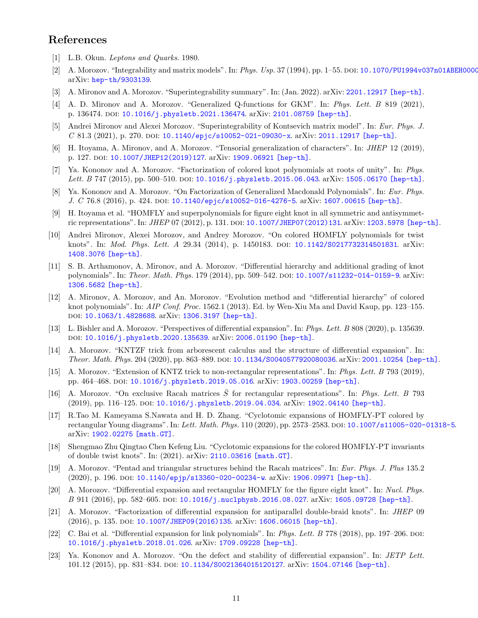# <span id="page-10-0"></span>References

- <span id="page-10-1"></span>[1] L.B. Okun. Leptons and Quarks. 1980.
- [2] A. Morozov. "Integrability and matrix models". In: *Phys. Usp.* 37 (1994), pp. 1–55. poi: 10.1070/PU1994v037n01ABEH0000 arXiv: [hep-th/9303139](https://arxiv.org/abs/hep-th/9303139).
- <span id="page-10-2"></span>[3] A. Mironov and A. Morozov. "Superintegrability summary". In: (Jan. 2022). arXiv: [2201.12917 \[hep-th\]](https://arxiv.org/abs/2201.12917).
- [4] A. D. Mironov and A. Morozov. "Generalized Q-functions for GKM". In: Phys. Lett. B 819 (2021), p. 136474. doi: [10.1016/j.physletb.2021.136474](https://doi.org/10.1016/j.physletb.2021.136474). arXiv: [2101.08759 \[hep-th\]](https://arxiv.org/abs/2101.08759).
- [5] Andrei Mironov and Alexei Morozov. "Superintegrability of Kontsevich matrix model". In: Eur. Phys. J. C 81.3 (2021), p. 270. doi:  $10.1140/$ epjc/s10052-021-09030-x. arXiv: [2011.12917 \[hep-th\]](https://arxiv.org/abs/2011.12917).
- <span id="page-10-3"></span>[6] H. Itoyama, A. Mironov, and A. Morozov. "Tensorial generalization of characters". In: JHEP 12 (2019), p. 127. DOI: [10.1007/JHEP12\(2019\)127](https://doi.org/10.1007/JHEP12(2019)127). arXiv: [1909.06921 \[hep-th\]](https://arxiv.org/abs/1909.06921).
- <span id="page-10-4"></span>[7] Ya. Kononov and A. Morozov. "Factorization of colored knot polynomials at roots of unity". In: Phys. Lett. B 747 (2015), pp. 500-510. DOI: [10.1016/j.physletb.2015.06.043](https://doi.org/10.1016/j.physletb.2015.06.043). arXiv: [1505.06170 \[hep-th\]](https://arxiv.org/abs/1505.06170).
- <span id="page-10-5"></span>[8] Ya. Kononov and A. Morozov. "On Factorization of Generalized Macdonald Polynomials". In: Eur. Phys. J. C 76.8 (2016), p. 424. DOI: [10.1140/epjc/s10052-016-4276-5](https://doi.org/10.1140/epjc/s10052-016-4276-5). arXiv: [1607.00615 \[hep-th\]](https://arxiv.org/abs/1607.00615).
- <span id="page-10-6"></span>[9] H. Itoyama et al. "HOMFLY and superpolynomials for figure eight knot in all symmetric and antisymmet-ric representations". In: JHEP 07 (2012), p. 131. DOI: [10.1007/JHEP07\(2012\)131](https://doi.org/10.1007/JHEP07(2012)131). arXiv: [1203.5978 \[hep-th\]](https://arxiv.org/abs/1203.5978).
- [10] Andrei Mironov, Alexei Morozov, and Andrey Morozov. "On colored HOMFLY polynomials for twist knots". In: *Mod. Phys. Lett. A* 29.34 (2014), p. 1450183. doi: [10.1142/S0217732314501831](https://doi.org/10.1142/S0217732314501831). arXiv: [1408.3076 \[hep-th\]](https://arxiv.org/abs/1408.3076).
- <span id="page-10-7"></span>[11] S. B. Arthamonov, A. Mironov, and A. Morozov. "Differential hierarchy and additional grading of knot polynomials". In: *Theor. Math. Phys.* 179 (2014), pp. 509–542. DOI: [10.1007/s11232-014-0159-9](https://doi.org/10.1007/s11232-014-0159-9). arXiv: [1306.5682 \[hep-th\]](https://arxiv.org/abs/1306.5682).
- <span id="page-10-15"></span>[12] A. Mironov, A. Morozov, and An. Morozov. "Evolution method and "differential hierarchy" of colored knot polynomials". In: AIP Conf. Proc. 1562.1 (2013). Ed. by Wen-Xiu Ma and David Kaup, pp. 123–155. doi: [10.1063/1.4828688](https://doi.org/10.1063/1.4828688). arXiv: [1306.3197 \[hep-th\]](https://arxiv.org/abs/1306.3197).
- <span id="page-10-12"></span>[13] L. Bishler and A. Morozov. "Perspectives of differential expansion". In: Phys. Lett. B 808 (2020), p. 135639. doi: [10.1016/j.physletb.2020.135639](https://doi.org/10.1016/j.physletb.2020.135639). arXiv: [2006.01190 \[hep-th\]](https://arxiv.org/abs/2006.01190).
- <span id="page-10-9"></span>[14] A. Morozov. "KNTZF trick from arborescent calculus and the structure of differential expansion". In: Theor. Math. Phys. 204 (2020), pp. 863–889. DOI: [10.1134/S0040577920080036](https://doi.org/10.1134/S0040577920080036). arXiv: [2001.10254 \[hep-th\]](https://arxiv.org/abs/2001.10254).
- <span id="page-10-13"></span>[15] A. Morozov. "Extension of KNTZ trick to non-rectangular representations". In: Phys. Lett. B 793 (2019), pp. 464-468. DOI: [10.1016/j.physletb.2019.05.016](https://doi.org/10.1016/j.physletb.2019.05.016). arXiv: [1903.00259 \[hep-th\]](https://arxiv.org/abs/1903.00259).
- <span id="page-10-14"></span>[16] A. Morozov. "On exclusive Racah matrices S for rectangular representations". In: Phys. Lett. B 793 (2019), pp. 116–125. doi: [10.1016/j.physletb.2019.04.034](https://doi.org/10.1016/j.physletb.2019.04.034). arXiv: [1902.04140 \[hep-th\]](https://arxiv.org/abs/1902.04140).
- <span id="page-10-16"></span>[17] R.Tao M. Kameyama S.Nawata and H. D. Zhang. "Cyclotomic expansions of HOMFLY-PT colored by rectangular Young diagrams". In: Lett. Math. Phys. 110 (2020), pp. 2573–2583. doi: [10.1007/s11005-020-01318-5](https://doi.org/10.1007/s11005-020-01318-5). arXiv: [1902.02275 \[math.GT\]](https://arxiv.org/abs/1902.02275).
- <span id="page-10-10"></span>[18] Shengmao Zhu Qingtao Chen Kefeng Liu. "Cyclotomic expansions for the colored HOMFLY-PT invariants of double twist knots". In: (2021). arXiv: [2110.03616 \[math.GT\]](https://arxiv.org/abs/2110.03616).
- [19] A. Morozov. "Pentad and triangular structures behind the Racah matrices". In: Eur. Phys. J. Plus 135.2 (2020), p. 196. doi: [10.1140/epjp/s13360-020-00234-w](https://doi.org/10.1140/epjp/s13360-020-00234-w). arXiv: [1906.09971 \[hep-th\]](https://arxiv.org/abs/1906.09971).
- [20] A. Morozov. "Differential expansion and rectangular HOMFLY for the figure eight knot". In: Nucl. Phys. B 911 (2016), pp. 582–605. doi: [10.1016/j.nuclphysb.2016.08.027](https://doi.org/10.1016/j.nuclphysb.2016.08.027). arXiv: [1605.09728 \[hep-th\]](https://arxiv.org/abs/1605.09728).
- <span id="page-10-8"></span>[21] A. Morozov. "Factorization of differential expansion for antiparallel double-braid knots". In: JHEP 09 (2016), p. 135. doi: [10.1007/JHEP09\(2016\)135](https://doi.org/10.1007/JHEP09(2016)135). arXiv: [1606.06015 \[hep-th\]](https://arxiv.org/abs/1606.06015).
- [22] C. Bai et al. "Differential expansion for link polynomials". In: Phys. Lett. B 778 (2018), pp. 197-206. DOI: [10.1016/j.physletb.2018.01.026](https://doi.org/10.1016/j.physletb.2018.01.026). arXiv: [1709.09228 \[hep-th\]](https://arxiv.org/abs/1709.09228).
- <span id="page-10-11"></span>[23] Ya. Kononov and A. Morozov. "On the defect and stability of differential expansion". In: JETP Lett. 101.12 (2015), pp. 831–834. doi: [10.1134/S0021364015120127](https://doi.org/10.1134/S0021364015120127). arXiv: [1504.07146 \[hep-th\]](https://arxiv.org/abs/1504.07146).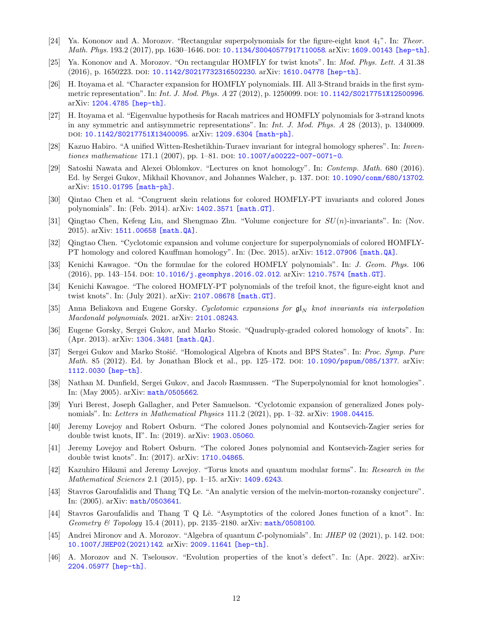- [24] Ya. Kononov and A. Morozov. "Rectangular superpolynomials for the figure-eight knot  $4<sub>1</sub>$ ". In: Theor. Math. Phys. 193.2 (2017), pp. 1630-1646. DOI: [10.1134/S0040577917110058](https://doi.org/10.1134/S0040577917110058). arXiv: [1609.00143 \[hep-th\]](https://arxiv.org/abs/1609.00143).
- [25] Ya. Kononov and A. Morozov. "On rectangular HOMFLY for twist knots". In: Mod. Phys. Lett. A 31.38 (2016), p. 1650223. doi: [10.1142/S0217732316502230](https://doi.org/10.1142/S0217732316502230). arXiv: [1610.04778 \[hep-th\]](https://arxiv.org/abs/1610.04778).
- [26] H. Itoyama et al. "Character expansion for HOMFLY polynomials. III. All 3-Strand braids in the first symmetric representation". In: *Int. J. Mod. Phys. A* 27 (2012), p. 1250099. DOI: [10.1142/S0217751X12500996](https://doi.org/10.1142/S0217751X12500996). arXiv: [1204.4785 \[hep-th\]](https://arxiv.org/abs/1204.4785).
- [27] H. Itoyama et al. "Eigenvalue hypothesis for Racah matrices and HOMFLY polynomials for 3-strand knots in any symmetric and antisymmetric representations". In: Int. J. Mod. Phys. A 28 (2013), p. 1340009. doi: [10.1142/S0217751X13400095](https://doi.org/10.1142/S0217751X13400095). arXiv: [1209.6304 \[math-ph\]](https://arxiv.org/abs/1209.6304).
- [28] Kazuo Habiro. "A unified Witten-Reshetikhin-Turaev invariant for integral homology spheres". In: Inven-tiones mathematicae 171.1 (2007), pp. 1–81. DOI: [10.1007/s00222-007-0071-0](https://doi.org/10.1007/s00222-007-0071-0).
- Satoshi Nawata and Alexei Oblomkov. "Lectures on knot homology". In: Contemp. Math. 680 (2016). Ed. by Sergei Gukov, Mikhail Khovanov, and Johannes Walcher, p. 137. DOI: [10.1090/conm/680/13702](https://doi.org/10.1090/conm/680/13702). arXiv: [1510.01795 \[math-ph\]](https://arxiv.org/abs/1510.01795).
- [30] Qintao Chen et al. "Congruent skein relations for colored HOMFLY-PT invariants and colored Jones polynomials". In: (Feb. 2014). arXiv: [1402.3571 \[math.GT\]](https://arxiv.org/abs/1402.3571).
- [31] Qingtao Chen, Kefeng Liu, and Shengmao Zhu. "Volume conjecture for  $SU(n)$ -invariants". In: (Nov. 2015). arXiv: [1511.00658 \[math.QA\]](https://arxiv.org/abs/1511.00658).
- [32] Qingtao Chen. "Cyclotomic expansion and volume conjecture for superpolynomials of colored HOMFLY-PT homology and colored Kauffman homology". In: (Dec. 2015). arXiv: [1512.07906 \[math.QA\]](https://arxiv.org/abs/1512.07906).
- [33] Kenichi Kawagoe. "On the formulae for the colored HOMFLY polynomials". In: J. Geom. Phys. 106  $(2016)$ , pp. 143-154. DOI: [10.1016/j.geomphys.2016.02.012](https://doi.org/10.1016/j.geomphys.2016.02.012). arXiv: [1210.7574 \[math.GT\]](https://arxiv.org/abs/1210.7574).
- [34] Kenichi Kawagoe. "The colored HOMFLY-PT polynomials of the trefoil knot, the figure-eight knot and twist knots". In: (July 2021). arXiv: [2107.08678 \[math.GT\]](https://arxiv.org/abs/2107.08678).
- [35] Anna Beliakova and Eugene Gorsky. Cyclotomic expansions for  $\mathfrak{gl}_N$  knot invariants via interpolation Macdonald polynomials. 2021. arXiv: [2101.08243](https://arxiv.org/abs/2101.08243).
- [36] Eugene Gorsky, Sergei Gukov, and Marko Stosic. "Quadruply-graded colored homology of knots". In: (Apr. 2013). arXiv: [1304.3481 \[math.QA\]](https://arxiv.org/abs/1304.3481).
- [37] Sergei Gukov and Marko Stošić. "Homological Algebra of Knots and BPS States". In: Proc. Symp. Pure Math. 85 (2012). Ed. by Jonathan Block et al., pp. 125–172. DOI: [10.1090/pspum/085/1377](https://doi.org/10.1090/pspum/085/1377). arXiv: [1112.0030 \[hep-th\]](https://arxiv.org/abs/1112.0030).
- [38] Nathan M. Dunfield, Sergei Gukov, and Jacob Rasmussen. "The Superpolynomial for knot homologies". In: (May 2005). arXiv: [math/0505662](https://arxiv.org/abs/math/0505662).
- [39] Yuri Berest, Joseph Gallagher, and Peter Samuelson. "Cyclotomic expansion of generalized Jones polynomials". In: Letters in Mathematical Physics 111.2 (2021), pp. 1–32. arXiv: [1908.04415](https://arxiv.org/abs/1908.04415).
- [40] Jeremy Lovejoy and Robert Osburn. "The colored Jones polynomial and Kontsevich-Zagier series for double twist knots, II". In: (2019). arXiv: [1903.05060](https://arxiv.org/abs/1903.05060).
- [41] Jeremy Lovejoy and Robert Osburn. "The colored Jones polynomial and Kontsevich-Zagier series for double twist knots". In: (2017). arXiv: [1710.04865](https://arxiv.org/abs/1710.04865).
- [42] Kazuhiro Hikami and Jeremy Lovejoy. "Torus knots and quantum modular forms". In: Research in the Mathematical Sciences 2.1 (2015), pp. 1–15. arXiv: [1409.6243](https://arxiv.org/abs/1409.6243).
- [43] Stavros Garoufalidis and Thang TQ Le. "An analytic version of the melvin-morton-rozansky conjecture". In: (2005). arXiv: [math/0503641](https://arxiv.org/abs/math/0503641).
- <span id="page-11-0"></span>[44] Stavros Garoufalidis and Thang T Q Lê. "Asymptotics of the colored Jones function of a knot". In: Geometry & Topology 15.4 (2011), pp. 2135–2180. arXiv: [math/0508100](https://arxiv.org/abs/math/0508100).
- <span id="page-11-1"></span>[45] Andrei Mironov and A. Morozov. "Algebra of quantum C-polynomials". In: *JHEP* 02 (2021), p. 142. doi: [10.1007/JHEP02\(2021\)142](https://doi.org/10.1007/JHEP02(2021)142). arXiv: [2009.11641 \[hep-th\]](https://arxiv.org/abs/2009.11641).
- <span id="page-11-2"></span>[46] A. Morozov and N. Tselousov. "Evolution properties of the knot's defect". In: (Apr. 2022). arXiv: [2204.05977 \[hep-th\]](https://arxiv.org/abs/2204.05977).